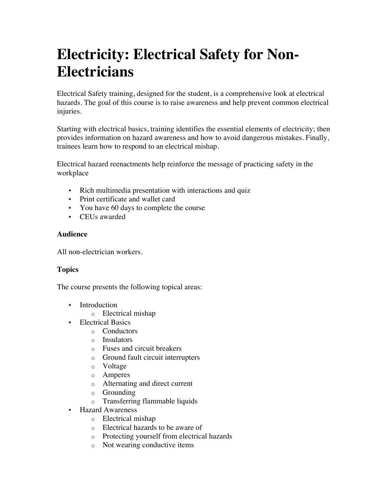## **Electricity: Electrical Safety for Non-Electricians**

Electrical Safety training, designed for the student, is a comprehensive look at electrical hazards. The goal of this course is to raise awareness and help prevent common electrical injuries.

Starting with electrical basics, training identifies the essential elements of electricity; then provides information on hazard awareness and how to avoid dangerous mistakes. Finally, trainees learn how to respond to an electrical mishap.

Electrical hazard reenactments help reinforce the message of practicing safety in the workplace

- Rich multimedia presentation with interactions and quiz
- Print certificate and wallet card
- You have 60 days to complete the course
- CEUs awarded

## **Audience**

All non-electrician workers.

## **Topics**

The course presents the following topical areas:

- Introduction
	- o Electrical mishap
- Electrical Basics
	- o Conductors
	- o Insulators
	- o Fuses and circuit breakers
	- o Ground fault circuit interrupters
	- o Voltage
	- o Amperes
	- o Alternating and direct current
	- o Grounding
	- o Transferring flammable liquids
- Hazard Awareness
	- o Electrical mishap
	- o Electrical hazards to be aware of
	- o Protecting yourself from electrical hazards
	- o Not wearing conductive items